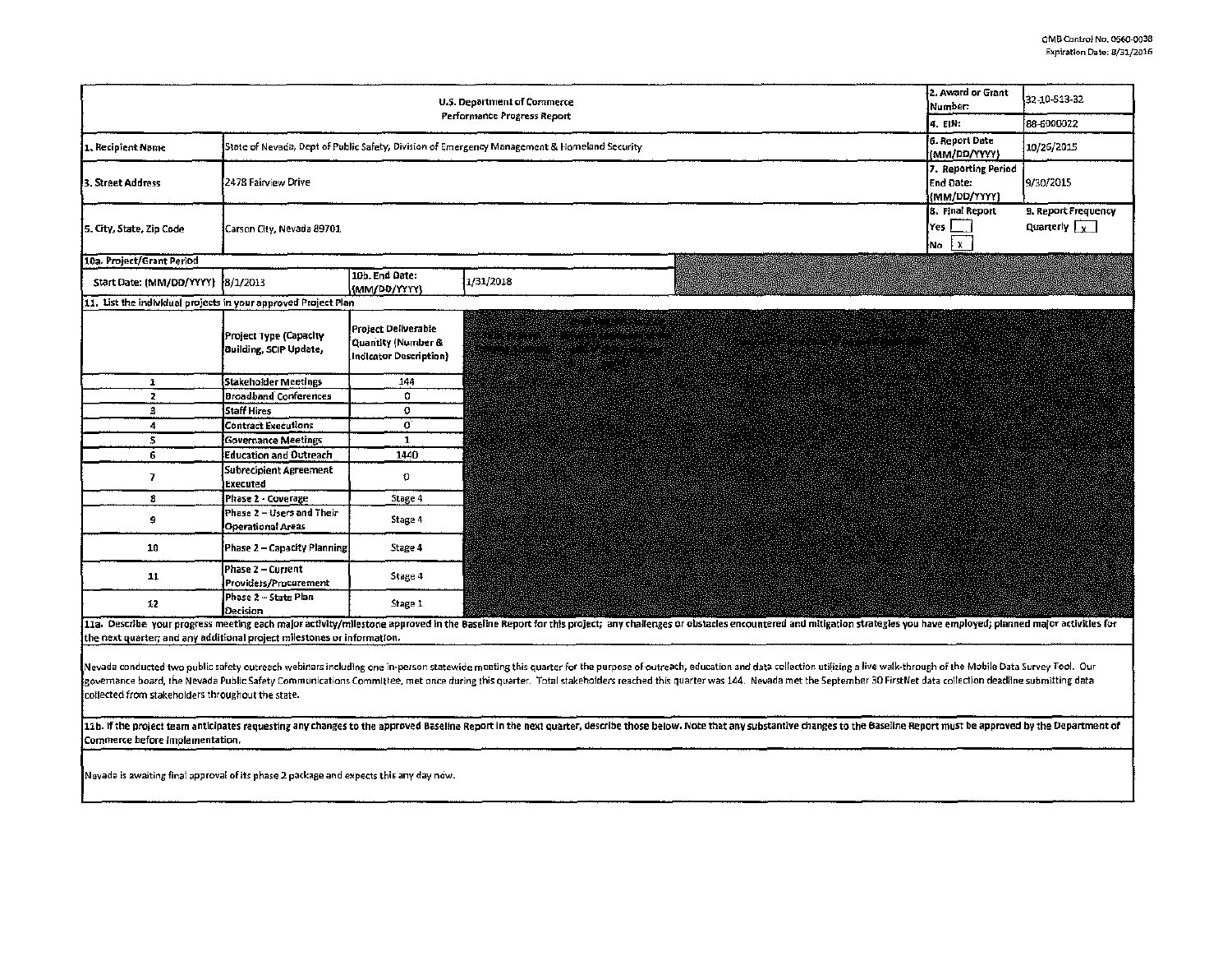| 2. Award or Grant<br>U.S. Department of Commerce<br>Performance Progress Report                                                                                                                                                                                                                                                                                                                                                                                                                                                                                                                                                                                                                                                                                                                                                                                                                                                                                                                                                                                                                         |                                                                                         |                                                                            |                                                                                                                                                       |                                    |  | 32-10-513-32                                |  |
|---------------------------------------------------------------------------------------------------------------------------------------------------------------------------------------------------------------------------------------------------------------------------------------------------------------------------------------------------------------------------------------------------------------------------------------------------------------------------------------------------------------------------------------------------------------------------------------------------------------------------------------------------------------------------------------------------------------------------------------------------------------------------------------------------------------------------------------------------------------------------------------------------------------------------------------------------------------------------------------------------------------------------------------------------------------------------------------------------------|-----------------------------------------------------------------------------------------|----------------------------------------------------------------------------|-------------------------------------------------------------------------------------------------------------------------------------------------------|------------------------------------|--|---------------------------------------------|--|
|                                                                                                                                                                                                                                                                                                                                                                                                                                                                                                                                                                                                                                                                                                                                                                                                                                                                                                                                                                                                                                                                                                         |                                                                                         |                                                                            |                                                                                                                                                       |                                    |  | 88-6000022                                  |  |
| State of Nevada, Dept of Public Safety, Division of Emergency Management & Homeland Security<br>1. Recipient Name                                                                                                                                                                                                                                                                                                                                                                                                                                                                                                                                                                                                                                                                                                                                                                                                                                                                                                                                                                                       |                                                                                         |                                                                            |                                                                                                                                                       |                                    |  | 10/26/2015                                  |  |
| 3. Street Address                                                                                                                                                                                                                                                                                                                                                                                                                                                                                                                                                                                                                                                                                                                                                                                                                                                                                                                                                                                                                                                                                       | (MM/DD/YYYY)<br>7. Reporting Period<br>2478 Fairview Drive<br>End Date:<br>(MM/DD/YYYY) |                                                                            |                                                                                                                                                       |                                    |  | 9/30/2015                                   |  |
| 5. City, State, Zip Code                                                                                                                                                                                                                                                                                                                                                                                                                                                                                                                                                                                                                                                                                                                                                                                                                                                                                                                                                                                                                                                                                | Carson City, Nevada 89701<br>¦No │ X                                                    |                                                                            |                                                                                                                                                       |                                    |  | 9. Report Frequency<br>Quarterly $\sqrt{x}$ |  |
| 10a. Project/Grant Period                                                                                                                                                                                                                                                                                                                                                                                                                                                                                                                                                                                                                                                                                                                                                                                                                                                                                                                                                                                                                                                                               |                                                                                         |                                                                            |                                                                                                                                                       |                                    |  |                                             |  |
| Start Date: (MM/DD/YYYY) 8/1/2013                                                                                                                                                                                                                                                                                                                                                                                                                                                                                                                                                                                                                                                                                                                                                                                                                                                                                                                                                                                                                                                                       |                                                                                         | 10b. End Date:<br>(MM/DD/YYYY)                                             | 1/31/2018                                                                                                                                             |                                    |  |                                             |  |
| 11. List the individual projects in your approved Project Plan                                                                                                                                                                                                                                                                                                                                                                                                                                                                                                                                                                                                                                                                                                                                                                                                                                                                                                                                                                                                                                          |                                                                                         |                                                                            |                                                                                                                                                       |                                    |  |                                             |  |
|                                                                                                                                                                                                                                                                                                                                                                                                                                                                                                                                                                                                                                                                                                                                                                                                                                                                                                                                                                                                                                                                                                         | Project Type (Capacity<br>Building, SCIP Update,                                        | Project Deliverable<br>Quantity (Number &<br><b>Indicator Description}</b> | rene al merito e patriota.<br>Santono di mi<br>arthum<br>a i Santa Antiga (1998-1999) e agus prior.<br>Anns an Cairle An Dùbhail an Cairle An Dùbhail | dan ta 22 ta 22 Martin 1910 hadi d |  |                                             |  |
| 1                                                                                                                                                                                                                                                                                                                                                                                                                                                                                                                                                                                                                                                                                                                                                                                                                                                                                                                                                                                                                                                                                                       | Stakeholder Meetings                                                                    | 144                                                                        |                                                                                                                                                       |                                    |  |                                             |  |
| $\overline{2}$                                                                                                                                                                                                                                                                                                                                                                                                                                                                                                                                                                                                                                                                                                                                                                                                                                                                                                                                                                                                                                                                                          | <b>Broadband Conferences</b>                                                            | 0                                                                          |                                                                                                                                                       |                                    |  |                                             |  |
| 3                                                                                                                                                                                                                                                                                                                                                                                                                                                                                                                                                                                                                                                                                                                                                                                                                                                                                                                                                                                                                                                                                                       | <b>Staff Hires</b>                                                                      | $\mathbf 0$                                                                |                                                                                                                                                       |                                    |  |                                             |  |
| 4                                                                                                                                                                                                                                                                                                                                                                                                                                                                                                                                                                                                                                                                                                                                                                                                                                                                                                                                                                                                                                                                                                       | <b>Contract Executions</b>                                                              | $\mathbf{0}^{\cdot}$                                                       |                                                                                                                                                       |                                    |  |                                             |  |
| 5                                                                                                                                                                                                                                                                                                                                                                                                                                                                                                                                                                                                                                                                                                                                                                                                                                                                                                                                                                                                                                                                                                       | <b>Governance Meetings</b>                                                              | 1                                                                          |                                                                                                                                                       |                                    |  |                                             |  |
| 6                                                                                                                                                                                                                                                                                                                                                                                                                                                                                                                                                                                                                                                                                                                                                                                                                                                                                                                                                                                                                                                                                                       | <b>Education and Outreach</b>                                                           | 1440                                                                       |                                                                                                                                                       |                                    |  |                                             |  |
| 7                                                                                                                                                                                                                                                                                                                                                                                                                                                                                                                                                                                                                                                                                                                                                                                                                                                                                                                                                                                                                                                                                                       | <b>Subrecipient Agreement</b><br>Executed                                               | o                                                                          |                                                                                                                                                       |                                    |  |                                             |  |
| 8                                                                                                                                                                                                                                                                                                                                                                                                                                                                                                                                                                                                                                                                                                                                                                                                                                                                                                                                                                                                                                                                                                       | Phase 2 - Coverage                                                                      | Stage 4                                                                    |                                                                                                                                                       |                                    |  |                                             |  |
| a,                                                                                                                                                                                                                                                                                                                                                                                                                                                                                                                                                                                                                                                                                                                                                                                                                                                                                                                                                                                                                                                                                                      | Phase 2 - Users and Their<br>Operational Areas                                          | Stage 4                                                                    |                                                                                                                                                       |                                    |  |                                             |  |
| 10                                                                                                                                                                                                                                                                                                                                                                                                                                                                                                                                                                                                                                                                                                                                                                                                                                                                                                                                                                                                                                                                                                      | Phase 2 - Capacity Planning.                                                            | Stage 4                                                                    |                                                                                                                                                       |                                    |  |                                             |  |
| 11                                                                                                                                                                                                                                                                                                                                                                                                                                                                                                                                                                                                                                                                                                                                                                                                                                                                                                                                                                                                                                                                                                      | Phase 2 - Current<br>Providers/Procurement                                              | Stage 4                                                                    |                                                                                                                                                       |                                    |  |                                             |  |
| 12                                                                                                                                                                                                                                                                                                                                                                                                                                                                                                                                                                                                                                                                                                                                                                                                                                                                                                                                                                                                                                                                                                      | Phase 2 - State Plan<br><b>Decision</b>                                                 | Stage 1                                                                    |                                                                                                                                                       |                                    |  |                                             |  |
| 11a. Describe your progress meeting each major activity/milestone approved in the Baseline Report for this project; any challenges or obstacles encountered and mitigation strategies you have employed; planned major activit<br>the next quarter; and any additional project milestones or information.<br>Nevada conducted two public safety outreach webinars including one in-person statewide meeting this quarter for the purpose of outreach, education and data collection utilizing a live walk-through of the Mobile Data Survey<br>governance board, the Nevada Public Safety Communications Committee, met once during this quarter. Total stakeholders reached this quarter was 144. Nevada met the September 30 FirstNet data collection deadline submitting d<br>collected from stakeholders throughout the state.<br>11b. If the project team anticipates requesting any changes to the approved Baseline Report in the next quarter, describe those below. Note that any substantive changes to the Baseline Report must be approved by the Depart<br>Commerce before implementation. |                                                                                         |                                                                            |                                                                                                                                                       |                                    |  |                                             |  |
| Neyada is awaiting final approval of its phase 2 package and expects this any day now.                                                                                                                                                                                                                                                                                                                                                                                                                                                                                                                                                                                                                                                                                                                                                                                                                                                                                                                                                                                                                  |                                                                                         |                                                                            |                                                                                                                                                       |                                    |  |                                             |  |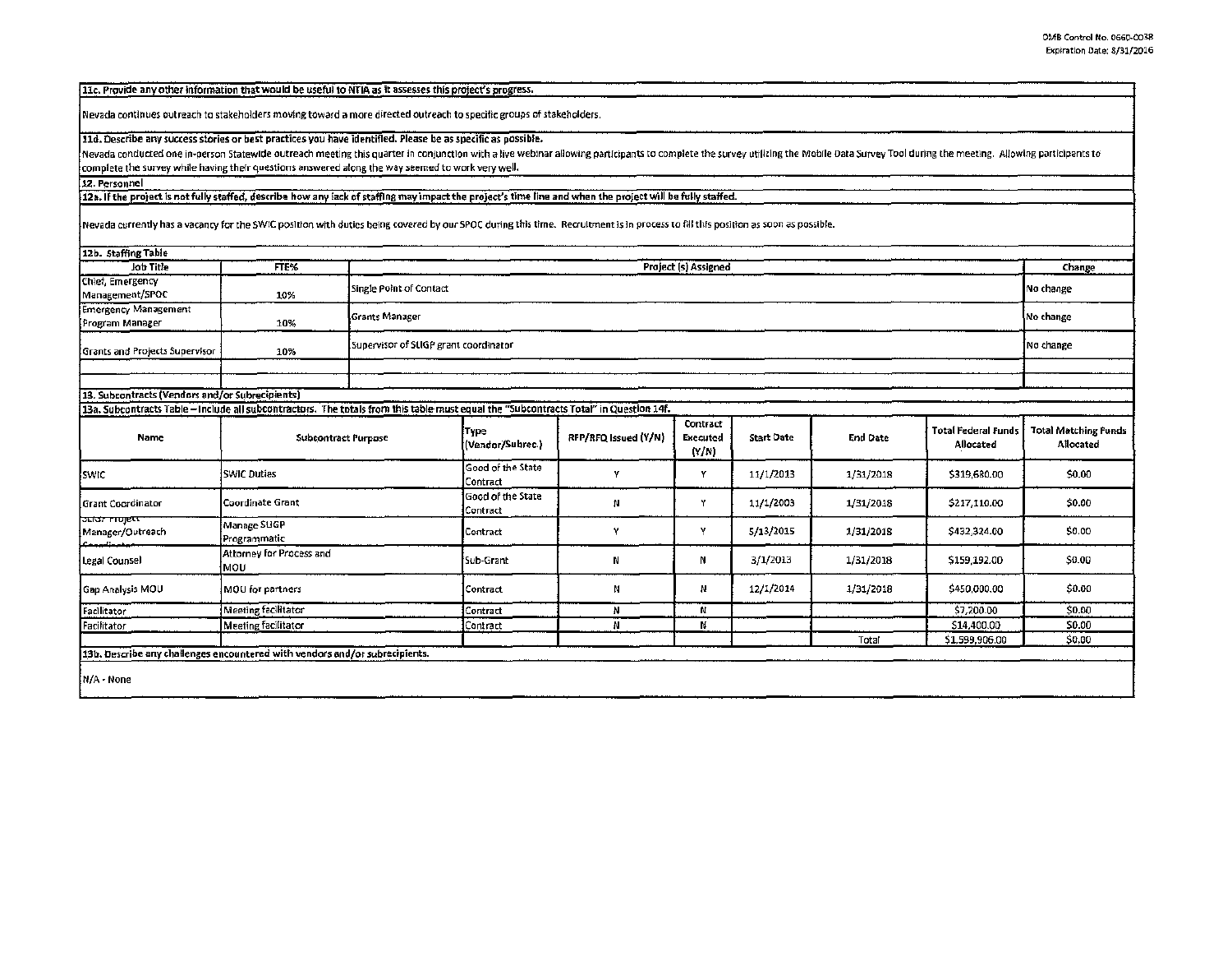11c. Provide any other information that would be useful to NTIA as it assesses this project's progress.

Nevada continues oulreach to stakeholder; moving toward a more directed outreach to specific groups of stakeholders.

11d. Describe any success stories or best practices you have identified. Please be as specific as possible.

Nevada conducted one in-person Statewide outreach meeting this quarter in conjunction with a live webinar allowing participants to complete the survey utilizing the Mobile Data Survey Tool during the meeting. Allowing part  $\frac{1}{2}$  complete the survey while having their questions answered along the way seemed to work very well.

12. Personnel

12a. If the project is not fully staffed, describe how any lack of staffing may impact the project's time line and when the project will be fully staffed.

Nevada currently has a vacancy for the SWIC position with duties being covered by our SPOC during this time. Recruitment is in process to fill this position as soon as possible.

| 12b. Staffing Table                                                         |                                                                                                                                                                     |                                       |                               |                      |                                      |                   |                 |                                         |                                          |
|-----------------------------------------------------------------------------|---------------------------------------------------------------------------------------------------------------------------------------------------------------------|---------------------------------------|-------------------------------|----------------------|--------------------------------------|-------------------|-----------------|-----------------------------------------|------------------------------------------|
| Job Title                                                                   | FTE%                                                                                                                                                                | Project (s) Assigned                  |                               |                      |                                      |                   |                 |                                         | Change                                   |
| Chief, Emergency<br>Management/SPOC                                         | 10%                                                                                                                                                                 | Single Point of Contact               |                               |                      |                                      |                   |                 |                                         | No change                                |
| <b>Emergency Management</b><br>Program Manager                              | 10%                                                                                                                                                                 | <b>Grants Manager</b>                 | No change                     |                      |                                      |                   |                 |                                         |                                          |
| <b>Grants and Projects Supervisor</b>                                       | 10%                                                                                                                                                                 | Supervisor of SLIGP grant coordinator |                               |                      |                                      |                   |                 |                                         | No change                                |
|                                                                             |                                                                                                                                                                     |                                       |                               |                      |                                      |                   |                 |                                         |                                          |
|                                                                             |                                                                                                                                                                     |                                       |                               |                      |                                      |                   |                 |                                         |                                          |
| 13. Subcontracts (Vendors and/or Subrecipients)                             |                                                                                                                                                                     |                                       |                               |                      |                                      |                   |                 |                                         |                                          |
| Name                                                                        | 13a. Subcontracts Table - Include all subcontractors. The totals from this table must equal the "Subcontracts Total" in Question 14f.<br><b>Subcontract Purpose</b> |                                       | Type<br>(Vendor/Subrec.)      | RFP/RFQ Issued (Y/N) | Contract<br><b>Executed</b><br>(Y/N) | <b>Start Date</b> | <b>End Date</b> | <b>Total Federal Funds</b><br>Allocated | <b>Total Matching Funds</b><br>Allocated |
| <b>SWIC</b>                                                                 | <b>SWIC Duties</b>                                                                                                                                                  |                                       | Good of the State<br>Contract | Υ                    | Y                                    | 11/1/2013         | 1/31/2018       | \$319,680.00                            | \$0.00                                   |
| Grant Coordinator                                                           | Coordinate Grant                                                                                                                                                    |                                       | Good of the State<br>Contract | N                    | Y                                    | 11/1/2003         | 1/31/2018       | \$217,110.00                            | \$0.00                                   |
| <b>buidr mojett</b><br>Manager/Outreach                                     | Manage SUGP<br>Programmatic                                                                                                                                         |                                       | Contract                      | Υ                    | Υ                                    | 5/13/2015         | 1/31/2018       | \$432,324.00                            | \$0.00                                   |
| Legal Counsel                                                               | Attorney for Process and<br>lmon                                                                                                                                    |                                       | Sub-Grant                     | N                    | N                                    | 3/1/2013          | 1/31/2018       | \$159,192.00                            | \$0.00                                   |
| Gap Analysis MOU                                                            | MOU for partners                                                                                                                                                    |                                       | Contract                      | Ν                    | Ν                                    | 12/1/2014         | 1/31/2018       | \$450,000.00                            | \$0.00                                   |
| Facilitator                                                                 | Meeting facilitator                                                                                                                                                 |                                       | Contract                      | N                    | N                                    |                   |                 | \$7,200.00                              | \$0.00                                   |
| Facilitator                                                                 | <b>Meeting facilitator</b>                                                                                                                                          |                                       | Contract                      | N                    | Ν                                    |                   |                 | \$14,400.00                             | \$0.00                                   |
|                                                                             |                                                                                                                                                                     |                                       |                               |                      |                                      |                   | Total           | \$1,599,906.00                          | \$0.00                                   |
| 13b. Describe any challenges encountered with vendors and/or subrecipients. |                                                                                                                                                                     |                                       |                               |                      |                                      |                   |                 |                                         |                                          |
| N/A - None                                                                  |                                                                                                                                                                     |                                       |                               |                      |                                      |                   |                 |                                         |                                          |